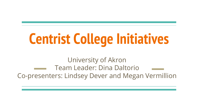# **Centrist College Initiatives**

University of Akron Team Leader: Dina Daltorio Co-presenters: Lindsey Dever and Megan Vermillion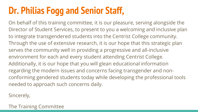### **Dr. Philias Fogg and Senior Staff,**

On behalf of this training committee, it is our pleasure, serving alongside the Director of Student Services, to present to you a welcoming and inclusive plan to integrate transgendered students into the Centrist College community. Through the use of extensive research, it is our hope that this strategic plan serves the community well in providing a progressive and all-inclusive environment for each and every student attending Centrist College. Additionally, it is our hope that you will glean educational information regarding the modern issues and concerns facing transgender and nonconforming gendered students today while developing the professional tools needed to approach such concerns daily.

Sincerely,

The Training Committee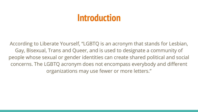#### **Introduction**

According to Liberate Yourself, "LGBTQ is an acronym that stands for Lesbian, Gay, Bisexual, Trans and Queer, and is used to designate a community of people whose sexual or gender identities can create shared political and social concerns. The LGBTQ acronym does not encompass everybody and different organizations may use fewer or more letters."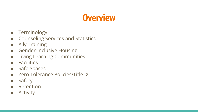#### **Overview**

- Terminology
- Counseling Services and Statistics
- Ally Training
- Gender-Inclusive Housing
- Living Learning Communities
- Facilities
- Safe Spaces
- Zero Tolerance Policies/Title IX
- Safety
- Retention
- Activity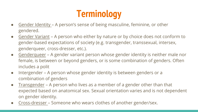# **Terminology**

- Gender Identity A person's sense of being masculine, feminine, or other gendered.
- Gender Variant A person who either by nature or by choice does not conform to gender-based expectations of society (e.g. transgender, transsexual, intersex, genderqueer, cross-dresser, etc.).
- Genderqueer A gender variant person whose gender identity is neither male nor female, is between or beyond genders, or is some combination of genders. Often includes a polit
- Intergender A person whose gender identity is between genders or a combination of genders
- Transgender A person who lives as a member of a gender other than that expected based on anatomical sex. Sexual orientation varies and is not dependent on gender identity.
- Cross-dresser Someone who wears clothes of another gender/sex.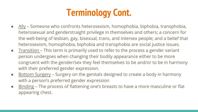### **Terminology Cont.**

- Ally Someone who confronts heterosexism, homophobia, biphobia, transphobia, heterosexual and genderstraight privilege in themselves and others; a concern for the well-being of lesbian, gay, bisexual, trans, and intersex people; and a belief that heterosexism, homophobia, biphobia and transphobia are social justice issues.
- Transition This term is primarily used to refer to the process a gender variant person undergoes when changing their bodily appearance either to be more congruent with the gender/sex they feel themselves to be and/or to be in harmony with their preferred gender expression.
- Bottom Surgery Surgery on the genitals designed to create a body in harmony with a person's preferred gender expression
- Binding The process of flattening one's breasts to have a more masculine or flat appearing chest.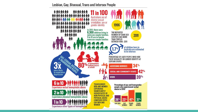Lesbian, Gay, Bisexual, Trans and Intersex People

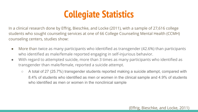#### **Collegiate Statistics**

In a clinical research done by Effrig, Bieschke, and Locke (2011), with a sample of 27,616 college students who sought counseling services at one of 66 College Counseling Mental Health (CCMH) counseling centers, studies show:

- More than twice as many participants who identified as transgender (42.6%) than participants who identified as male/female reported engaging in self-injurious behavior.
- With regard to attempted suicide, more than 3 times as many participants who identified as transgender than male/female, reported a suicide attempt.
	- A total of 27 (25.7%) transgender students reported making a suicide attempt, compared with 8.4% of students who identified as men or women in the clinical sample and 4.9% of students who identified as men or women in the nonclinical sample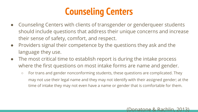### **Counseling Centers**

- Counseling Centers with clients of transgender or genderqueer students should include questions that address their unique concerns and increase their sense of safety, comfort, and respect.
- Providers signal their competence by the questions they ask and the language they use.
- The most critical time to establish report is during the intake process where the first questions on most intake forms are name and gender.
	- For trans and gender nonconforming students, these questions are complicated. They may not use their legal name and they may not identify with their assigned gender; at the time of intake they may not even have a name or gender that is comfortable for them.

#### (Donatone & Rachlin, 2013)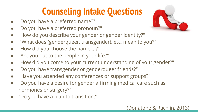# **Counseling Intake Questions**

- "Do you have a preferred name?"
- "Do you have a preferred pronoun?"
- "How do you describe your gender or gender identity?"
- "What does (genderqueer, transgender), etc. mean to you?"
- "How did you choose the name ...?"
- "Are you out to the people in your life?"
- "How did you come to your current understanding of your gender?"
- "Do you have transgender or genderqueer friends?"
- "Have you attended any conferences or support groups?"
- "Do you have a desire for gender affirming medical care such as hormones or surgery?"
- "Do you have a plan to transition?"



#### (Donatone & Rachlin, 2013)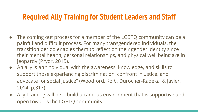#### **Required Ally Training for Student Leaders and Staff**

- The coming out process for a member of the LGBTQ community can be a painful and difficult process. For many transgendered individuals, the transition period enables them to reflect on their gender identity since their mental health, personal relationships, and physical well being are in jeopardy (Pryor, 2015).
- An ally is an "individual with the awareness, knowledge, and skills to support those experiencing discrimination, confront injustice, and advocate for social justice" (Woodford, Kolb, Durocher-Radeka, & Javier, 2014, p.317).
- Ally Training will help build a campus environment that is supportive and open towards the LGBTQ community.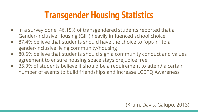### **Transgender Housing Statistics**

- In a survey done, 46.15% of transgendered students reported that a Gender-Inclusive Housing (GIH) heavily influenced school choice.
- 87.4% believe that students should have the choice to "opt-in" to a gender-inclusive living community/housing
- 80.6% believe that students should sign a community conduct and values agreement to ensure housing space stays prejudice free
- 35.9% of students believe it should be a requirement to attend a certain number of events to build friendships and increase LGBTQ Awareness

#### (Krum, Davis, Galupo, 2013)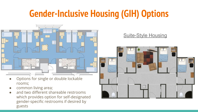#### **Gender-Inclusive Housing (GIH) Options**



- Options for single or double lockable rooms;
- common living area;
- and two different shareable restrooms which provides option for self-designated gender-specific restrooms if desired by guests

#### Suite-Style Housing

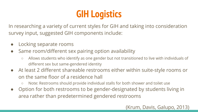# **GIH Logistics**

In researching a variety of current styles for GIH and taking into consideration survey input, suggested GIH components include:

- Locking separate rooms
- Same room/different sex pairing option availability
	- Allows students who identify as one gender but not transitioned to live with individuals of different sex but same-gendered identity
- At least 2 different shareable restrooms either within suite-style rooms or on the same floor of a residence hall
	- Note: Restrooms should provide individual stalls for both shower and toilet use
- Option for both restrooms to be gender-designated by students living in area rather than predetermined gendered restrooms

#### (Krum, Davis, Galupo, 2013)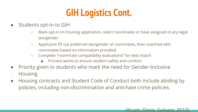# **GIH Logistics Cont.**

- Students opt-in to GIH
	- Mark opt-in on housing application, select roommates or have assigned of any legal sex/gender
	- Applicants fill out preferred sex/gender of roommates, then matched with roommates based on information provided
	- Complete "roommate compatibility evaluations" for best match
		- Process works to ensure student safety and comfort
- Priority given to students who mark the need for Gender-Inclusive Housing
- Housing contracts and Student Code of Conduct both include abiding by policies, including non-discrimination and anti-hate crime policies.

#### (Krum, Davis, Galupo, 2013)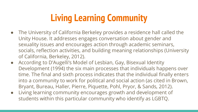# **Living Learning Community**

- The University of California Berkeley provides a residence hall called the Unity House. It addresses engages conversation about gender and sexuality issues and encourages action through academic seminars, socials, reflection activities, and building meaning relationships (University of California, Berkeley, 2012).
- According to D'Augelli's Model of Lesbian, Gay, Bisexual Identity Development (1994) the six main processes that individuals happens over time. The final and sixth process indicates that the individual finally enters into a community to work for political and social action (as cited in Brown, Bryant, Bureau, Haller, Pierre, Piquette, Pohl, Pryor, & Sands, 2012).
- Living learning community encourages growth and development of students within this particular community who identify as LGBTQ.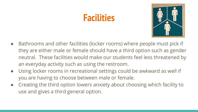#### **Facilities**



- Bathrooms and other facilities (locker rooms) where people must pick if they are either male or female should have a third option such as gender neutral. These facilities would make our students feel less threatened by an everyday activity such as using the restroom.
- Using locker rooms in recreational settings could be awkward as well if you are having to choose between male or female.
- Creating the third option lowers anxiety about choosing which facility to use and gives a third general option.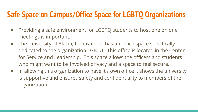#### **Safe Space on Campus/Office Space for LGBTQ Organizations**

- Providing a safe environment for LGBTQ students to host one on one meetings is important.
- The University of Akron, for example, has an office space specifically dedicated to the organization LGBTU. This office is located in the Center for Service and Leadership. This space allows the officers and students who might want to be involved privacy and a space to feel secure.
- In allowing this organization to have it's own office it shows the university is supportive and ensures safety and confidentiality to members of the organization.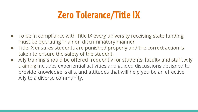#### **Zero Tolerance/Title IX**

- To be in compliance with Title IX every university receiving state funding must be operating in a non discriminatory manner
- Title IX ensures students are punished properly and the correct action is taken to ensure the safety of the student.
- Ally training should be offered frequently for students, faculty and staff. Ally training includes experiential activities and guided discussions designed to provide knowledge, skills, and attitudes that will help you be an effective Ally to a diverse community.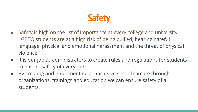

- Safety is high on the list of importance at every college and university. LGBTQ students are at a high risk of being bullied, hearing hateful language, physical and emotional harassment and the threat of physical violence.
- It is our job as administrators to create rules and regulations for students to ensure safety of everyone.
- By creating and implementing an inclusive school climate through organizations, trainings and education we can ensure safety of all students.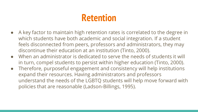#### **Retention**

- A key factor to maintain high retention rates is correlated to the degree in which students have both academic and social integration. If a student feels disconnected from peers, professors and administrators, they may discontinue their education at an institution (Tinto, 2000).
- When an administrator is dedicated to serve the needs of students it will in turn, compel students to persist within higher education (Tinto, 2000).
- Therefore, purposeful engagement and consistency will help institutions expand their resources. Having administrators and professors understand the needs of the LGBTQ students will help move forward with policies that are reasonable (Ladson-Billings, 1995).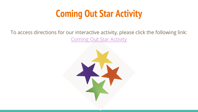# **Coming Out Star Activity**

#### To access directions for our interactive activity, please click the following link: [Coming Out Star Activity](https://lgbtteachingaids.files.wordpress.com/2012/03/coming-out-stars-activity.pdf)